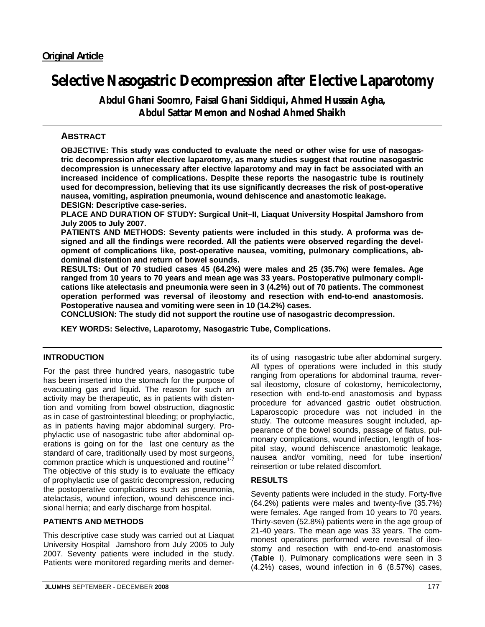# **Selective Nasogastric Decompression after Elective Laparotomy**

**Abdul Ghani Soomro, Faisal Ghani Siddiqui, Ahmed Hussain Agha, Abdul Sattar Memon and Noshad Ahmed Shaikh** 

# **ABSTRACT**

**OBJECTIVE: This study was conducted to evaluate the need or other wise for use of nasogastric decompression after elective laparotomy, as many studies suggest that routine nasogastric decompression is unnecessary after elective laparotomy and may in fact be associated with an increased incidence of complications. Despite these reports the nasogastric tube is routinely used for decompression, believing that its use significantly decreases the risk of post-operative nausea, vomiting, aspiration pneumonia, wound dehiscence and anastomotic leakage. DESIGN: Descriptive case-series.** 

**PLACE AND DURATION OF STUDY: Surgical Unit–II, Liaquat University Hospital Jamshoro from July 2005 to July 2007.** 

**PATIENTS AND METHODS: Seventy patients were included in this study. A proforma was designed and all the findings were recorded. All the patients were observed regarding the development of complications like, post-operative nausea, vomiting, pulmonary complications, abdominal distention and return of bowel sounds.** 

**RESULTS: Out of 70 studied cases 45 (64.2%) were males and 25 (35.7%) were females. Age ranged from 10 years to 70 years and mean age was 33 years. Postoperative pulmonary complications like atelectasis and pneumonia were seen in 3 (4.2%) out of 70 patients. The commonest operation performed was reversal of ileostomy and resection with end-to-end anastomosis. Postoperative nausea and vomiting were seen in 10 (14.2%) cases.** 

**CONCLUSION: The study did not support the routine use of nasogastric decompression.** 

**KEY WORDS: Selective, Laparotomy, Nasogastric Tube, Complications.** 

## **INTRODUCTION**

For the past three hundred years, nasogastric tube has been inserted into the stomach for the purpose of evacuating gas and liquid. The reason for such an activity may be therapeutic, as in patients with distention and vomiting from bowel obstruction, diagnostic as in case of gastrointestinal bleeding; or prophylactic, as in patients having major abdominal surgery. Prophylactic use of nasogastric tube after abdominal operations is going on for the last one century as the standard of care, traditionally used by most surgeons, common practice which is unquestioned and routine<sup>1-7</sup> The objective of this study is to evaluate the efficacy of prophylactic use of gastric decompression, reducing the postoperative complications such as pneumonia, atelactasis, wound infection, wound dehiscence incisional hernia; and early discharge from hospital.

### **PATIENTS AND METHODS**

This descriptive case study was carried out at Liaquat University Hospital Jamshoro from July 2005 to July 2007. Seventy patients were included in the study. Patients were monitored regarding merits and demerits of using nasogastric tube after abdominal surgery. All types of operations were included in this study ranging from operations for abdominal trauma, reversal ileostomy, closure of colostomy, hemicolectomy, resection with end-to-end anastomosis and bypass procedure for advanced gastric outlet obstruction. Laparoscopic procedure was not included in the study. The outcome measures sought included, appearance of the bowel sounds, passage of flatus, pulmonary complications, wound infection, length of hospital stay, wound dehiscence anastomotic leakage, nausea and/or vomiting, need for tube insertion/ reinsertion or tube related discomfort.

### **RESULTS**

Seventy patients were included in the study. Forty-five (64.2%) patients were males and twenty-five (35.7%) were females. Age ranged from 10 years to 70 years. Thirty-seven (52.8%) patients were in the age group of 21-40 years. The mean age was 33 years. The commonest operations performed were reversal of ileostomy and resection with end-to-end anastomosis (**Table I**). Pulmonary complications were seen in 3 (4.2%) cases, wound infection in 6 (8.57%) cases,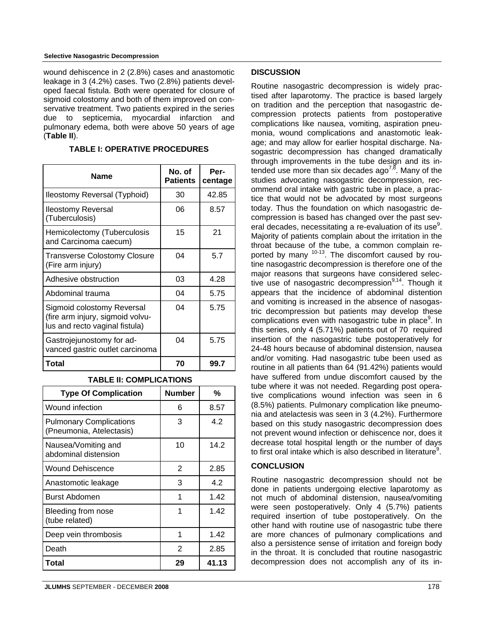#### **Selective Nasogastric Decompression**

wound dehiscence in 2 (2.8%) cases and anastomotic leakage in 3 (4.2%) cases. Two (2.8%) patients developed faecal fistula. Both were operated for closure of sigmoid colostomy and both of them improved on conservative treatment. Two patients expired in the series due to septicemia, myocardial infarction and pulmonary edema, both were above 50 years of age (**Table II**).

| <b>Name</b>                                                                                      | No. of<br><b>Patients</b> | Per-<br>centage |
|--------------------------------------------------------------------------------------------------|---------------------------|-----------------|
| Ileostomy Reversal (Typhoid)                                                                     | 30                        | 42.85           |
| <b>Ileostomy Reversal</b><br>(Tuberculosis)                                                      | 06                        | 8.57            |
| Hemicolectomy (Tuberculosis<br>and Carcinoma caecum)                                             | 15                        | 21              |
| <b>Transverse Colostomy Closure</b><br>(Fire arm injury)                                         | 04                        | 5.7             |
| Adhesive obstruction                                                                             | 03                        | 4.28            |
| Abdominal trauma                                                                                 | 04                        | 5.75            |
| Sigmoid colostomy Reversal<br>(fire arm injury, sigmoid volvu-<br>lus and recto vaginal fistula) | 04                        | 5.75            |
| Gastrojejunostomy for ad-<br>vanced gastric outlet carcinoma                                     | 04                        | 5.75            |
| Total                                                                                            | 70                        | 99.7            |

#### **TABLE II: COMPLICATIONS**

| <b>Type Of Complication</b>                                | <b>Number</b> | %     |
|------------------------------------------------------------|---------------|-------|
| Wound infection                                            | 6             | 8.57  |
| <b>Pulmonary Complications</b><br>(Pneumonia, Atelectasis) | 3             | 4.2   |
| Nausea/Vomiting and<br>abdominal distension                | 10            | 14.2  |
| <b>Wound Dehiscence</b>                                    | 2             | 2.85  |
| Anastomotic leakage                                        | 3             | 4.2   |
| Burst Abdomen                                              | 1             | 1.42  |
| Bleeding from nose<br>(tube related)                       | 1             | 1.42  |
| Deep vein thrombosis                                       | 1             | 1.42  |
| Death                                                      | 2             | 2.85  |
| Total                                                      | 29            | 41.13 |

#### **DISCUSSION**

Routine nasogastric decompression is widely practised after laparotomy. The practice is based largely on tradition and the perception that nasogastric decompression protects patients from postoperative complications like nausea, vomiting, aspiration pneumonia, wound complications and anastomotic leakage; and may allow for earlier hospital discharge. Nasogastric decompression has changed dramatically through improvements in the tube design and its intended use more than six decades ago<sup>7,8</sup>. Many of the studies advocating nasogastric decompression, recommend oral intake with gastric tube in place, a practice that would not be advocated by most surgeons today. Thus the foundation on which nasogastric decompression is based has changed over the past several decades, necessitating a re-evaluation of its use<sup>9</sup>. Majority of patients complain about the irritation in the throat because of the tube, a common complain reported by many <sup>10-13</sup>. The discomfort caused by routine nasogastric decompression is therefore one of the major reasons that surgeons have considered selective use of nasogastric decompression $9,14$ . Though it appears that the incidence of abdominal distention and vomiting is increased in the absence of nasogastric decompression but patients may develop these complications even with nasogastric tube in place<sup>9</sup>. In this series, only 4 (5.71%) patients out of 70 required insertion of the nasogastric tube postoperatively for 24-48 hours because of abdominal distension, nausea and/or vomiting. Had nasogastric tube been used as routine in all patients than 64 (91.42%) patients would have suffered from undue discomfort caused by the tube where it was not needed. Regarding post operative complications wound infection was seen in 6 (8.5%) patients. Pulmonary complication like pneumonia and atelactesis was seen in 3 (4.2%). Furthermore based on this study nasogastric decompression does not prevent wound infection or dehiscence nor, does it decrease total hospital length or the number of days to first oral intake which is also described in literature<sup>9</sup>.

### **CONCLUSION**

Routine nasogastric decompression should not be done in patients undergoing elective laparotomy as not much of abdominal distension, nausea/vomiting were seen postoperatively. Only 4 (5.7%) patients required insertion of tube postoperatively. On the other hand with routine use of nasogastric tube there are more chances of pulmonary complications and also a persistence sense of irritation and foreign body in the throat. It is concluded that routine nasogastric decompression does not accomplish any of its in